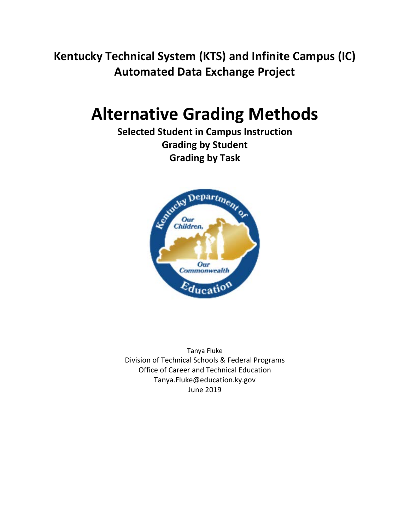**Kentucky Technical System (KTS) and Infinite Campus (IC) Automated Data Exchange Project**

# **Alternative Grading Methods**

**Selected Student in Campus Instruction Grading by Student Grading by Task**



Tanya Fluke Division of Technical Schools & Federal Programs Office of Career and Technical Education Tanya.Fluke@education.ky.gov June 2019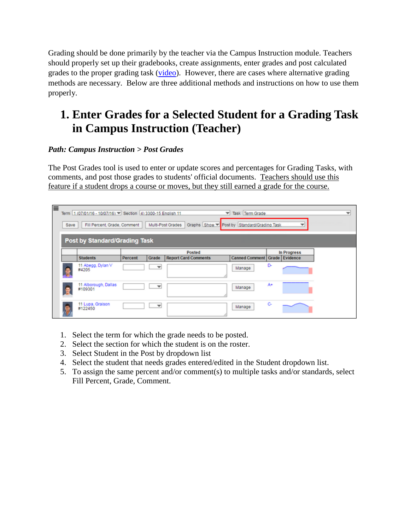Grading should be done primarily by the teacher via the Campus Instruction module. Teachers should properly set up their gradebooks, create assignments, enter grades and post calculated grades to the proper grading task [\(video\)](http://media.education.ky.gov/video1/Web1/Campus_Instruction-_Grade_Book_Assignment_Creation.mp4). However, there are cases where alternative grading methods are necessary. Below are three additional methods and instructions on how to use them properly.

## **1. Enter Grades for a Selected Student for a Grading Task in Campus Instruction (Teacher)**

#### *Path: Campus Instruction > Post Grades*

The Post Grades tool is used to enter or update scores and percentages for Grading Tasks, with comments, and post those grades to students' official documents. Teachers should use this feature if a student drops a course or moves, but they still earned a grade for the course.

| ⋿ | Term 1 (07/01/16 - 10/07/16) Section 4) 3300-15 English 11<br>Task Term Grade<br>▼<br>$\overline{\phantom{a}}$<br>Graphs Show Post by Standard/Grading Task<br>Multi-Post Grades<br>Fill Percent, Grade, Comment<br>Save<br>÷ |         |                          |                             |                                          |    |             |  |  |  |  |  |
|---|-------------------------------------------------------------------------------------------------------------------------------------------------------------------------------------------------------------------------------|---------|--------------------------|-----------------------------|------------------------------------------|----|-------------|--|--|--|--|--|
|   | <b>Post by Standard/Grading Task</b>                                                                                                                                                                                          |         |                          |                             |                                          |    |             |  |  |  |  |  |
|   |                                                                                                                                                                                                                               |         |                          | <b>Posted</b>               |                                          |    | In Progress |  |  |  |  |  |
|   | <b>Students</b>                                                                                                                                                                                                               | Percent | Grade                    | <b>Report Card Comments</b> | <b>Canned Comment   Grade   Evidence</b> |    |             |  |  |  |  |  |
| 凰 | 11 Abegg, Dylan V<br>#4205                                                                                                                                                                                                    |         | $\overline{\phantom{a}}$ |                             | Manage                                   | D. |             |  |  |  |  |  |
| 鱼 | 11 Alborough, Dallas<br>#109301                                                                                                                                                                                               |         | $\overline{\phantom{a}}$ |                             | Manage                                   | A+ |             |  |  |  |  |  |
|   | 11 Lupa, Graison<br>#122450                                                                                                                                                                                                   |         | $\overline{\phantom{a}}$ |                             | Manage                                   | c  |             |  |  |  |  |  |

- 1. Select the term for which the grade needs to be posted.
- 2. Select the section for which the student is on the roster.
- 3. Select Student in the Post by dropdown list
- 4. Select the student that needs grades entered/edited in the Student dropdown list.
- 5. To assign the same percent and/or comment(s) to multiple tasks and/or standards, select Fill Percent, Grade, Comment.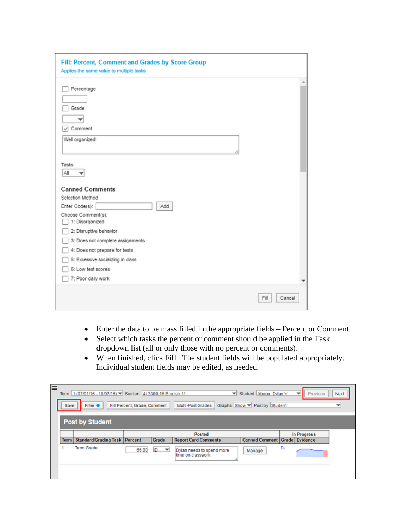| Fill: Percent, Comment and Grades by Score Group<br>Applies the same value to multiple tasks                                                                                                                                                                                                 |                |
|----------------------------------------------------------------------------------------------------------------------------------------------------------------------------------------------------------------------------------------------------------------------------------------------|----------------|
| Percentage<br>Grade<br>Comment<br>↵<br>Well organized!                                                                                                                                                                                                                                       |                |
| Tasks<br>All                                                                                                                                                                                                                                                                                 |                |
| <b>Canned Comments</b><br>Selection Method<br>Enter Code(s):<br>Add<br>Choose Comment(s):<br>1: Disorganized<br>2: Disruptive behavior<br>3: Does not complete assignments<br>4: Does not prepare for tests<br>5: Excessive socializing in class<br>6: Low test scores<br>7: Poor daily work |                |
|                                                                                                                                                                                                                                                                                              | Fill<br>Cancel |

- Enter the data to be mass filled in the appropriate fields Percent or Comment.
- Select which tasks the percent or comment should be applied in the Task dropdown list (all or only those with no percent or comments).
- When finished, click Fill. The student fields will be populated appropriately. Individual student fields may be edited, as needed.

| ≡<br>Save | Term 1 (07/01/16 - 10/07/16) Section 4) 3300-15 Enalish 11<br>Filter $\bullet$ | Fill Percent, Grade, Comment |                                | w<br>Multi-Post Grades                          | Student Abegg, Dylan V<br>Graphs Show Post by Student |    | Previous<br>$\overline{\phantom{a}}$ | Next<br>▼ |  |  |  |
|-----------|--------------------------------------------------------------------------------|------------------------------|--------------------------------|-------------------------------------------------|-------------------------------------------------------|----|--------------------------------------|-----------|--|--|--|
|           | <b>Post by Student</b>                                                         |                              |                                |                                                 |                                                       |    |                                      |           |  |  |  |
|           |                                                                                |                              |                                | <b>Posted</b>                                   |                                                       |    | In Progress                          |           |  |  |  |
|           | <b>Term   Standard/Grading Task   Percent</b>                                  |                              | Grade                          | <b>Report Card Comments</b>                     | <b>Canned Comment   Grade   Evidence</b>              |    |                                      |           |  |  |  |
|           | <b>Term Grade</b>                                                              | 65.00                        | D.<br>$\overline{\phantom{a}}$ | Dylan needs to spend more<br>time on classwork. | Manage                                                | D- |                                      |           |  |  |  |
|           |                                                                                |                              |                                |                                                 |                                                       |    |                                      |           |  |  |  |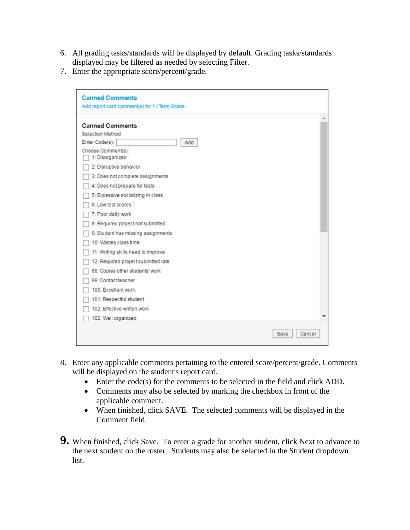- 6. All grading tasks/standards will be displayed by default. Grading tasks/standards displayed may be filtered as needed by selecting Filter.
- 7. Enter the appropriate score/percent/grade.

| <b>Canned Comments</b>                        |                |
|-----------------------------------------------|----------------|
| Add report card comment(s) for 1 / Term Grade |                |
| <b>Canned Comments</b>                        |                |
| Selection Method                              |                |
| Enter Code(s):<br>Add                         |                |
| Choose Comment(s):<br>1: Disorganized         |                |
| 2: Disruptive behavior                        |                |
| 3: Does not complete assignments              |                |
| 4: Does not prepare for tests                 |                |
| 5: Excessive socializing in class             |                |
| 6: Low test scores                            |                |
| 7: Poor daily work                            |                |
| 8: Required project not submitted             |                |
| 9: Student has missing assignments            |                |
| 10: Wastes class time                         |                |
| 11: Writing skills need to improve            |                |
| 12: Required project submitted late           |                |
| 68: Copies other students' work               |                |
| 99: Contact teacher                           |                |
| 100: Excellent work.                          |                |
| 101: Respectful student                       |                |
| 102: Effective written work                   |                |
| 102: Well organized                           |                |
|                                               | Cancel<br>Save |

- 8. Enter any applicable comments pertaining to the entered score/percent/grade. Comments will be displayed on the student's report card.
	- Enter the code(s) for the comments to be selected in the field and click ADD.
	- Comments may also be selected by marking the checkbox in front of the applicable comment.
	- When finished, click SAVE. The selected comments will be displayed in the Comment field.
- **9.** When finished, click Save. To enter a grade for another student, click Next to advance to the next student on the roster. Students may also be selected in the Student dropdown list.